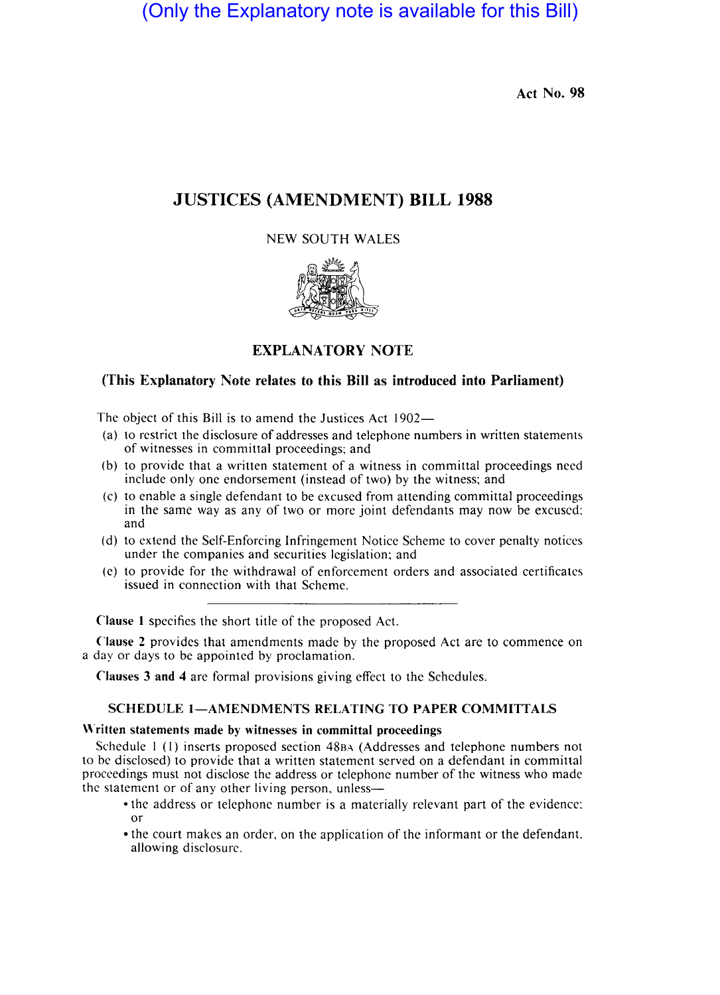# (Only the Explanatory note is available for this Bill)

Act No. 98

## **JUSTICES (AMENDMENT) BILL 1988**

## NEW SOUTH WALES





## **EXPLANATORY NOTE**

## (This Explanatory Note relates to this Bill as introduced into Parliament)

The object of this Bill is to amend the Justices Act  $1902-$ 

- (a) to restrict the disclosure of addresses and telephone numbers in written statements of witnesses in committal proceedings; and
- (b) to provide that a written statement of a witness in committal proceedings need include only one endorsement (instead of two) by the witness; and
- (c) to enable a single defendant to be excused from attending committal proceedings in the same way as any of two or more joint defendants may now be excused:<br>and and , and , and , and , and , and , and , and , and , and , and , and , and , and , and , and , and , and , an
- (d) to extend the Self-Enforcing Infringement Notice Scheme to cover penalty notices under the companies and securities legislation; and
- (e) to provide for the withdrawal of enforcement orders and associated certificates issued in connection with that Scheme.

Clause 1 specifies the short title of the proposed Act.

Clause 2 provides that amendments made by the proposed Act are to commence on a day or days to be appointed by proclamation.

Clauses 3 and 4 are formal provisions giving effect to the Schedules.

## SCHEDULE 1-AMENDMENTS RELATING TO PAPER COMMITTALS

#### Written statements made by witnesses in committal proceedings

Schedule  $1$  (1) inserts proposed section  $48BA$  (Addresses and telephone numbers not to be disclosed) to provide that a written statement served on a defendant in committal proceedings must not disclose the addres or telephone number of the witness who made the statement or of any other living person, unless--

- the address or telephone number is a materially relevant part of the evidence: or
- the court makes an order, on the application of the informant or the defendant. allowing disclosurc.